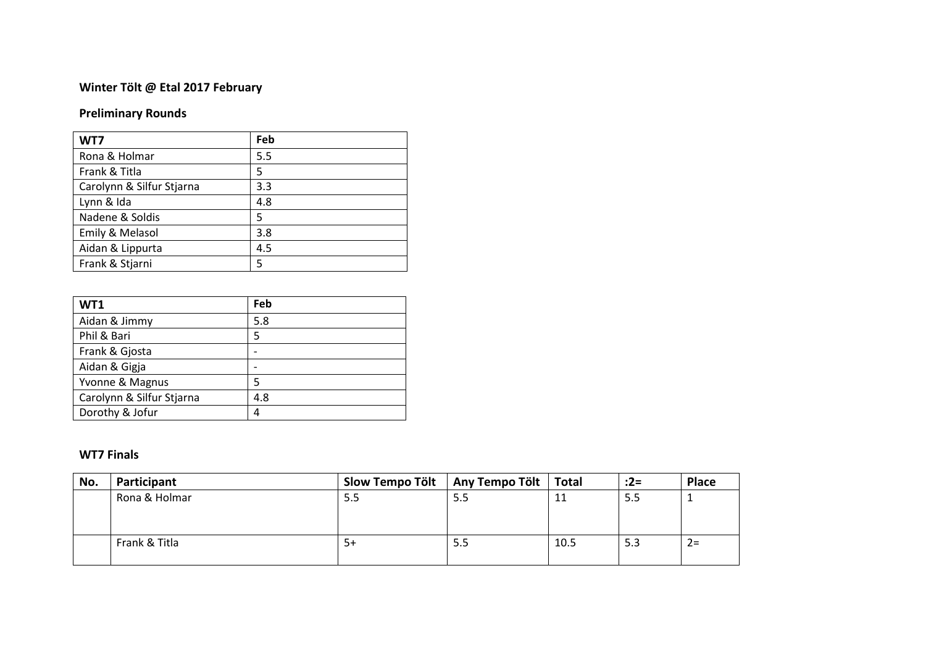## **Winter Tölt @ Etal 2017 February**

## **Preliminary Rounds**

| WT7                       | Feb |
|---------------------------|-----|
| Rona & Holmar             | 5.5 |
| Frank & Titla             | 5   |
| Carolynn & Silfur Stjarna | 3.3 |
| Lynn & Ida                | 4.8 |
| Nadene & Soldis           | 5   |
| Emily & Melasol           | 3.8 |
| Aidan & Lippurta          | 4.5 |
| Frank & Stjarni           | 5   |

| WT1                       | Feb |
|---------------------------|-----|
| Aidan & Jimmy             | 5.8 |
| Phil & Bari               | 5   |
| Frank & Gjosta            |     |
| Aidan & Gigja             |     |
| Yvonne & Magnus           | 5   |
| Carolynn & Silfur Stjarna | 4.8 |
| Dorothy & Jofur           | 4   |

## **WT7 Finals**

| No. | Participant   | Slow Tempo Tölt | Any Tempo Tölt | <b>Total</b> | $:2=$ | Place |
|-----|---------------|-----------------|----------------|--------------|-------|-------|
|     | Rona & Holmar | 5.5             | -5.5           | 11           | 5.5   |       |
|     |               |                 |                |              |       |       |
|     |               |                 |                |              |       |       |
|     | Frank & Titla | $5+$            | 5.5            | 10.5         | 5.3   | $2 =$ |
|     |               |                 |                |              |       |       |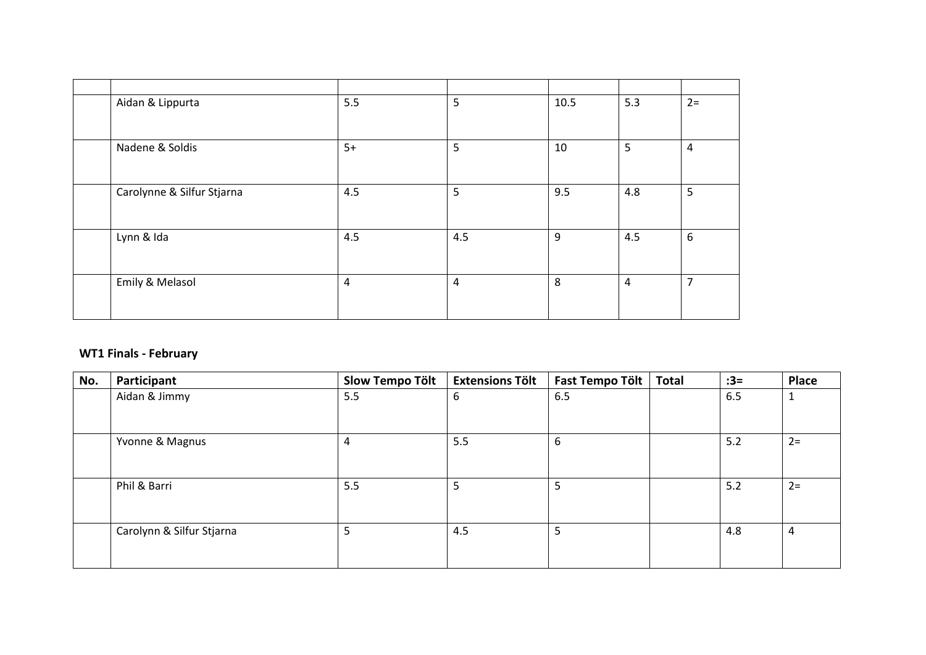| Aidan & Lippurta           | 5.5            | $5\phantom{.}$ | 10.5 | 5.3            | $2 =$          |
|----------------------------|----------------|----------------|------|----------------|----------------|
|                            |                |                |      |                |                |
| Nadene & Soldis            | $5+$           | 5              | 10   | 5              | $\overline{a}$ |
|                            |                |                |      |                |                |
| Carolynne & Silfur Stjarna | 4.5            | 5              | 9.5  | 4.8            | 5              |
|                            |                |                |      |                |                |
| Lynn & Ida                 | 4.5            | 4.5            | 9    | 4.5            | 6              |
|                            |                |                |      |                |                |
| Emily & Melasol            | $\overline{a}$ | $\overline{4}$ | 8    | $\overline{4}$ | $\overline{7}$ |
|                            |                |                |      |                |                |

## **WT1 Finals - February**

| No. | Participant               | <b>Slow Tempo Tölt</b> | <b>Extensions Tölt</b> | Fast Tempo Tölt | <b>Total</b> | $:3=$ | <b>Place</b> |
|-----|---------------------------|------------------------|------------------------|-----------------|--------------|-------|--------------|
|     | Aidan & Jimmy             | 5.5                    | 6                      | 6.5             |              | 6.5   | $\mathbf{1}$ |
|     | Yvonne & Magnus           | 4                      | 5.5                    | 6               |              | 5.2   | $2=$         |
|     | Phil & Barri              | 5.5                    | 5                      | ⊃               |              | 5.2   | $2=$         |
|     | Carolynn & Silfur Stjarna | 5                      | 4.5                    |                 |              | 4.8   | 4            |